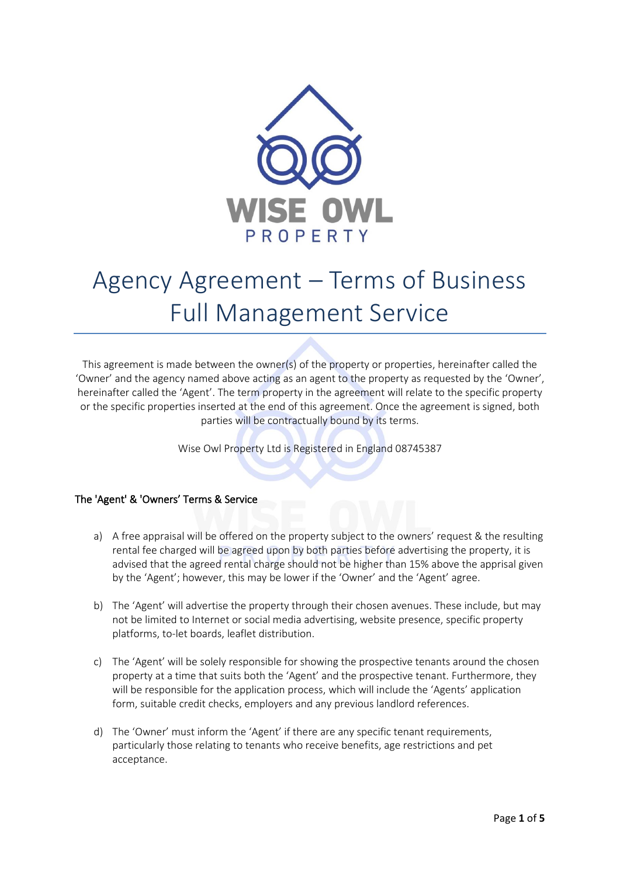

# Agency Agreement – Terms of Business Full Management Service

This agreement is made between the owner(s) of the property or properties, hereinafter called the 'Owner' and the agency named above acting as an agent to the property as requested by the 'Owner', hereinafter called the 'Agent'. The term property in the agreement will relate to the specific property or the specific properties inserted at the end of this agreement. Once the agreement is signed, both parties will be contractually bound by its terms.

Wise Owl Property Ltd is Registered in England 08745387

### The 'Agent' & 'Owners' Terms & Service

- a) A free appraisal will be offered on the property subject to the owners' request & the resulting rental fee charged will be agreed upon by both parties before advertising the property, it is advised that the agreed rental charge should not be higher than 15% above the apprisal given by the 'Agent'; however, this may be lower if the 'Owner' and the 'Agent' agree.
- b) The 'Agent' will advertise the property through their chosen avenues. These include, but may not be limited to Internet or social media advertising, website presence, specific property platforms, to-let boards, leaflet distribution.
- c) The 'Agent' will be solely responsible for showing the prospective tenants around the chosen property at a time that suits both the 'Agent' and the prospective tenant. Furthermore, they will be responsible for the application process, which will include the 'Agents' application form, suitable credit checks, employers and any previous landlord references.
- d) The 'Owner' must inform the 'Agent' if there are any specific tenant requirements, particularly those relating to tenants who receive benefits, age restrictions and pet acceptance.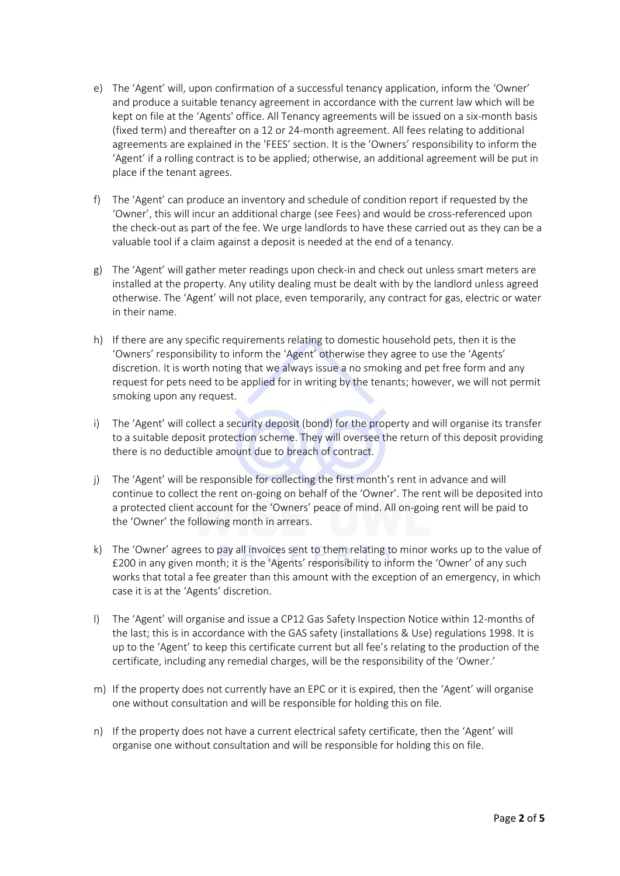- e) The 'Agent' will, upon confirmation of a successful tenancy application, inform the 'Owner' and produce a suitable tenancy agreement in accordance with the current law which will be kept on file at the 'Agents' office. All Tenancy agreements will be issued on a six-month basis (fixed term) and thereafter on a 12 or 24-month agreement. All fees relating to additional agreements are explained in the 'FEES' section. It is the 'Owners' responsibility to inform the 'Agent' if a rolling contract is to be applied; otherwise, an additional agreement will be put in place if the tenant agrees.
- f) The 'Agent' can produce an inventory and schedule of condition report if requested by the 'Owner', this will incur an additional charge (see Fees) and would be cross-referenced upon the check-out as part of the fee. We urge landlords to have these carried out as they can be a valuable tool if a claim against a deposit is needed at the end of a tenancy.
- g) The 'Agent' will gather meter readings upon check-in and check out unless smart meters are installed at the property. Any utility dealing must be dealt with by the landlord unless agreed otherwise. The 'Agent' will not place, even temporarily, any contract for gas, electric or water in their name.
- h) If there are any specific requirements relating to domestic household pets, then it is the 'Owners' responsibility to inform the 'Agent' otherwise they agree to use the 'Agents' discretion. It is worth noting that we always issue a no smoking and pet free form and any request for pets need to be applied for in writing by the tenants; however, we will not permit smoking upon any request.
- i) The 'Agent' will collect a security deposit (bond) for the property and will organise its transfer to a suitable deposit protection scheme. They will oversee the return of this deposit providing there is no deductible amount due to breach of contract.
- j) The 'Agent' will be responsible for collecting the first month's rent in advance and will continue to collect the rent on-going on behalf of the 'Owner'. The rent will be deposited into a protected client account for the 'Owners' peace of mind. All on-going rent will be paid to the 'Owner' the following month in arrears.
- k) The 'Owner' agrees to pay all invoices sent to them relating to minor works up to the value of £200 in any given month; it is the 'Agents' responsibility to inform the 'Owner' of any such works that total a fee greater than this amount with the exception of an emergency, in which case it is at the 'Agents' discretion.
- l) The 'Agent' will organise and issue a CP12 Gas Safety Inspection Notice within 12-months of the last; this is in accordance with the GAS safety (installations & Use) regulations 1998. It is up to the 'Agent' to keep this certificate current but all fee's relating to the production of the certificate, including any remedial charges, will be the responsibility of the 'Owner.'
- m) If the property does not currently have an EPC or it is expired, then the 'Agent' will organise one without consultation and will be responsible for holding this on file.
- n) If the property does not have a current electrical safety certificate, then the 'Agent' will organise one without consultation and will be responsible for holding this on file.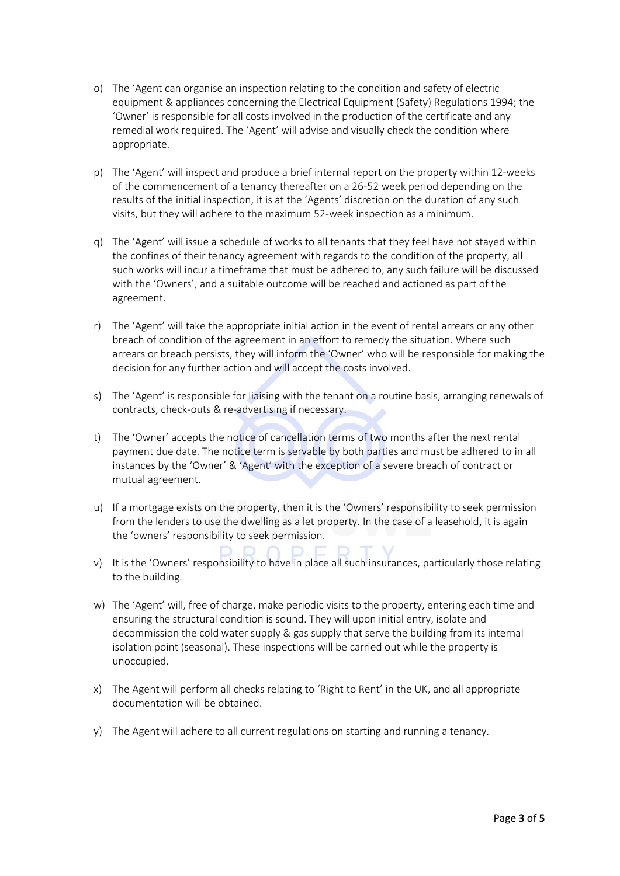- o) The 'Agent can organise an inspection relating to the condition and safety of electric equipment & appliances concerning the Electrical Equipment (Safety) Regulations 1994; the 'Owner' is responsible for all costs involved in the production of the certificate and any remedial work required. The 'Agent' will advise and visually check the condition where appropriate.
- p) The 'Agent' will inspect and produce a brief internal report on the property within 12-weeks of the commencement of a tenancy thereafter on a 26-52 week period depending on the results of the initial inspection, it is at the 'Agents' discretion on the duration of any such visits, but they will adhere to the maximum 52-week inspection as a minimum.
- q) The 'Agent' will issue a schedule of works to all tenants that they feel have not stayed within the confines of their tenancy agreement with regards to the condition of the property, all such works will incur a timeframe that must be adhered to, any such failure will be discussed with the 'Owners', and a suitable outcome will be reached and actioned as part of the agreement.
- r) The 'Agent' will take the appropriate initial action in the event of rental arrears or any other breach of condition of the agreement in an effort to remedy the situation. Where such arrears or breach persists, they will inform the 'Owner' who will be responsible for making the decision for any further action and will accept the costs involved.
- s) The 'Agent' is responsible for liaising with the tenant on a routine basis, arranging renewals of contracts, check-outs & re-advertising if necessary.
- t) The 'Owner' accepts the notice of cancellation terms of two months after the next rental payment due date. The notice term is servable by both parties and must be adhered to in all instances by the 'Owner' & 'Agent' with the exception of a severe breach of contract or mutual agreement.
- u) If a mortgage exists on the property, then it is the 'Owners' responsibility to seek permission from the lenders to use the dwelling as a let property. In the case of a leasehold, it is again the 'owners' responsibility to seek permission.
- v) It is the 'Owners' responsibility to have in place all such insurances, particularly those relating to the building.
- w) The 'Agent' will, free of charge, make periodic visits to the property, entering each time and ensuring the structural condition is sound. They will upon initial entry, isolate and decommission the cold water supply & gas supply that serve the building from its internal isolation point (seasonal). These inspections will be carried out while the property is unoccupied.
- x) The Agent will perform all checks relating to 'Right to Rent' in the UK, and all appropriate documentation will be obtained.
- y) The Agent will adhere to all current regulations on starting and running a tenancy.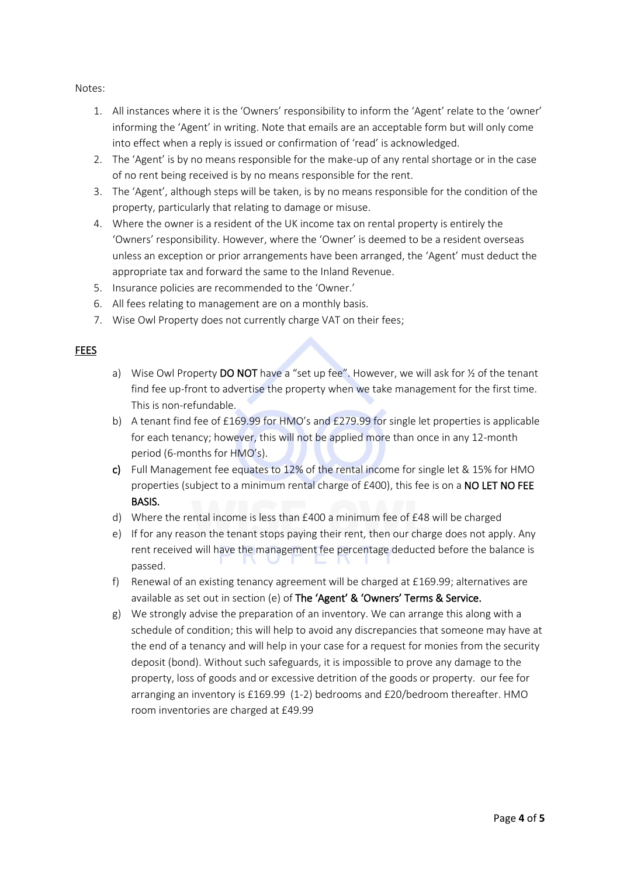#### Notes:

- 1. All instances where it is the 'Owners' responsibility to inform the 'Agent' relate to the 'owner' informing the 'Agent' in writing. Note that emails are an acceptable form but will only come into effect when a reply is issued or confirmation of 'read' is acknowledged.
- 2. The 'Agent' is by no means responsible for the make-up of any rental shortage or in the case of no rent being received is by no means responsible for the rent.
- 3. The 'Agent', although steps will be taken, is by no means responsible for the condition of the property, particularly that relating to damage or misuse.
- 4. Where the owner is a resident of the UK income tax on rental property is entirely the 'Owners' responsibility. However, where the 'Owner' is deemed to be a resident overseas unless an exception or prior arrangements have been arranged, the 'Agent' must deduct the appropriate tax and forward the same to the Inland Revenue.
- 5. Insurance policies are recommended to the 'Owner.'
- 6. All fees relating to management are on a monthly basis.
- 7. Wise Owl Property does not currently charge VAT on their fees;

#### **FEES**

- a) Wise Owl Property DO NOT have a "set up fee". However, we will ask for  $\frac{1}{2}$  of the tenant find fee up-front to advertise the property when we take management for the first time. This is non-refundable.
- b) A tenant find fee of £169.99 for HMO's and £279.99 for single let properties is applicable for each tenancy; however, this will not be applied more than once in any 12-month period (6-months for HMO's).
- c) Full Management fee equates to 12% of the rental income for single let & 15% for HMO properties (subject to a minimum rental charge of £400), this fee is on a NO LET NO FEE BASIS.
- d) Where the rental income is less than £400 a minimum fee of £48 will be charged
- e) If for any reason the tenant stops paying their rent, then our charge does not apply. Any rent received will have the management fee percentage deducted before the balance is passed.
- f) Renewal of an existing tenancy agreement will be charged at £169.99; alternatives are available as set out in section (e) of The 'Agent' & 'Owners' Terms & Service.
- g) We strongly advise the preparation of an inventory. We can arrange this along with a schedule of condition; this will help to avoid any discrepancies that someone may have at the end of a tenancy and will help in your case for a request for monies from the security deposit (bond). Without such safeguards, it is impossible to prove any damage to the property, loss of goods and or excessive detrition of the goods or property. our fee for arranging an inventory is £169.99 (1-2) bedrooms and £20/bedroom thereafter. HMO room inventories are charged at £49.99